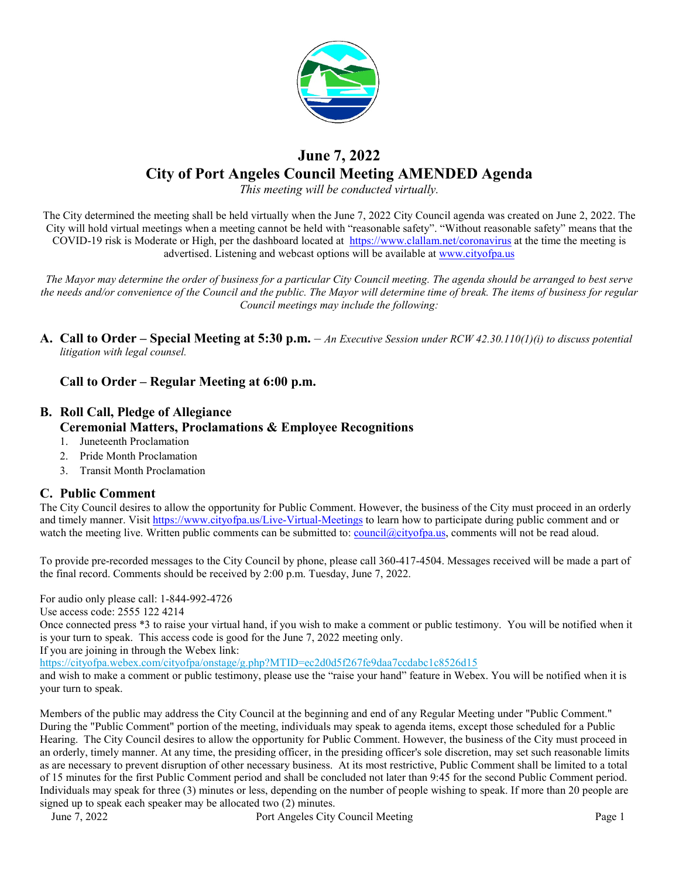

# **June 7, 2022 City of Port Angeles Council Meeting AMENDED Agenda**

*This meeting will be conducted virtually.*

The City determined the meeting shall be held virtually when the June 7, 2022 City Council agenda was created on June 2, 2022. The City will hold virtual meetings when a meeting cannot be held with "reasonable safety". "Without reasonable safety" means that the COVID-19 risk is Moderate or High, per the dashboard located at [https://www.clallam.net/coronavirus](https://gcc02.safelinks.protection.outlook.com/?url=https%3A%2F%2Fwww.clallam.net%2Fcoronavirus&data=05%7C01%7CScurran%40cityofpa.us%7Cc749505f484d4f6dd72608da3eb24b9e%7C57b967ad7ef047f092f508dad41714f3%7C0%7C0%7C637891232755993346%7CUnknown%7CTWFpbGZsb3d8eyJWIjoiMC4wLjAwMDAiLCJQIjoiV2luMzIiLCJBTiI6Ik1haWwiLCJXVCI6Mn0%3D%7C3000%7C%7C%7C&sdata=MItQwEUrh2tiNUmzqZKsVPQRPcxu6hAY%2BuSFnIm6l0o%3D&reserved=0) at the time the meeting is advertised. Listening and webcast options will be available at [www.cityofpa.us](http://www.cityofpa.us/) 

*The Mayor may determine the order of business for a particular City Council meeting. The agenda should be arranged to best serve the needs and/or convenience of the Council and the public. The Mayor will determine time of break. The items of business for regular Council meetings may include the following:*

**A. Call to Order – Special Meeting at 5:30 p.m.** – *An Executive Session under RCW 42.30.110(1)(i) to discuss potential litigation with legal counsel.*

## **Call to Order – Regular Meeting at 6:00 p.m.**

# **B. Roll Call, Pledge of Allegiance Ceremonial Matters, Proclamations & Employee Recognitions**

- 1. Juneteenth Proclamation
- 2. Pride Month Proclamation
- 3. Transit Month Proclamation

## **C. Public Comment**

The City Council desires to allow the opportunity for Public Comment. However, the business of the City must proceed in an orderly and timely manner. Visit<https://www.cityofpa.us/Live-Virtual-Meetings> to learn how to participate during public comment and or watch the meeting live. Written public comments can be submitted to: [council@cityofpa.us,](mailto:council@cityofpa.us) comments will not be read aloud.

To provide pre-recorded messages to the City Council by phone, please call 360-417-4504. Messages received will be made a part of the final record. Comments should be received by 2:00 p.m. Tuesday, June 7, 2022.

For audio only please call: 1-844-992-4726

Use access code: 2555 122 4214

Once connected press \*3 to raise your virtual hand, if you wish to make a comment or public testimony. You will be notified when it is your turn to speak. This access code is good for the June 7, 2022 meeting only.

If you are joining in through the Webex link:

<https://cityofpa.webex.com/cityofpa/onstage/g.php?MTID=ec2d0d5f267fe9daa7ccdabc1c8526d15>

and wish to make a comment or public testimony, please use the "raise your hand" feature in Webex. You will be notified when it is your turn to speak.

Members of the public may address the City Council at the beginning and end of any Regular Meeting under "Public Comment." During the "Public Comment" portion of the meeting, individuals may speak to agenda items, except those scheduled for a Public Hearing. The City Council desires to allow the opportunity for Public Comment. However, the business of the City must proceed in an orderly, timely manner. At any time, the presiding officer, in the presiding officer's sole discretion, may set such reasonable limits as are necessary to prevent disruption of other necessary business. At its most restrictive, Public Comment shall be limited to a total of 15 minutes for the first Public Comment period and shall be concluded not later than 9:45 for the second Public Comment period. Individuals may speak for three (3) minutes or less, depending on the number of people wishing to speak. If more than 20 people are signed up to speak each speaker may be allocated two (2) minutes.